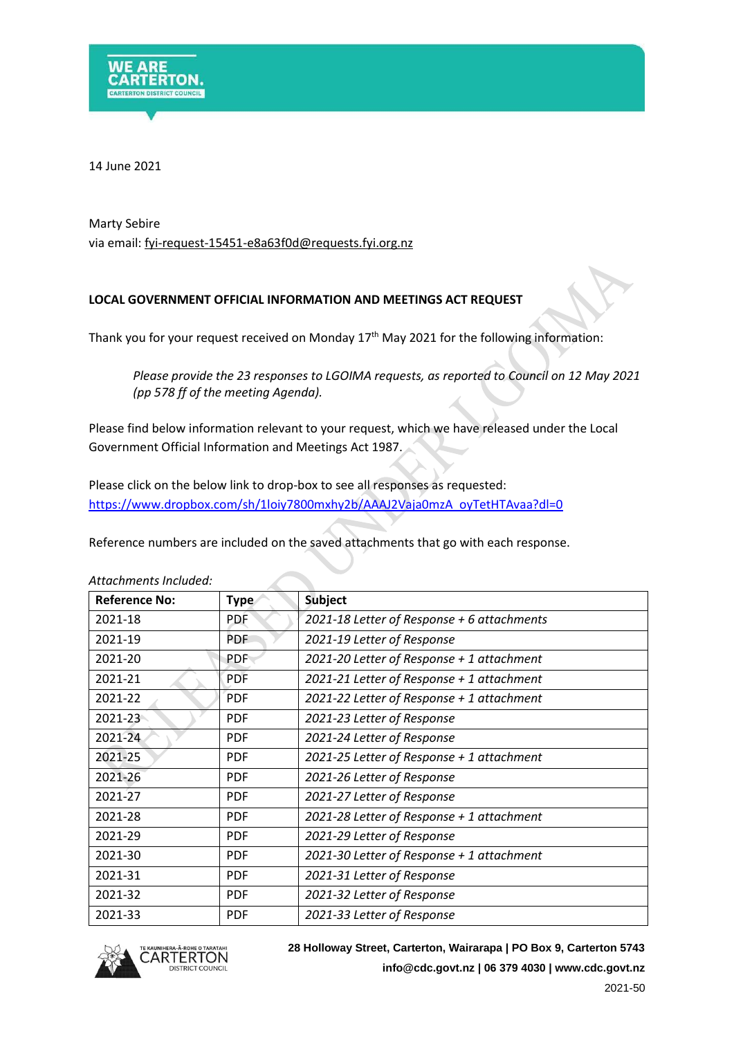

14 June 2021

## Marty Sebire via email: fyi-request-15451-e8a63f0d@requests.fyi.org.nz

## **LOCAL GOVERNMENT OFFICIAL INFORMATION AND MEETINGS ACT REQUEST**

Thank you for your request received on Monday  $17<sup>th</sup>$  May 2021 for the following information:

*Please provide the 23 responses to LGOIMA requests, as reported to Council on 12 May 2021 (pp 578 ff of the meeting Agenda).*

Please find below information relevant to your request, which we have released under the Local Government Official Information and Meetings Act 1987.

Please click on the below link to drop-box to see all responses as requested: [https://www.dropbox.com/sh/1loiy7800mxhy2b/AAAJ2Vaja0mzA\\_oyTetHTAvaa?dl=0](https://www.dropbox.com/sh/1loiy7800mxhy2b/AAAJ2Vaja0mzA_oyTetHTAvaa?dl=0)

Reference numbers are included on the saved attachments that go with each response.

| <b>Reference No:</b> | <b>Type</b> | <b>Subject</b>                             |
|----------------------|-------------|--------------------------------------------|
| 2021-18              | <b>PDF</b>  | 2021-18 Letter of Response + 6 attachments |
| 2021-19              | <b>PDF</b>  | 2021-19 Letter of Response                 |
| 2021-20              | <b>PDF</b>  | 2021-20 Letter of Response + 1 attachment  |
| 2021-21              | <b>PDF</b>  | 2021-21 Letter of Response + 1 attachment  |
| 2021-22              | <b>PDF</b>  | 2021-22 Letter of Response + 1 attachment  |
| $2021 - 23$          | <b>PDF</b>  | 2021-23 Letter of Response                 |
| 2021-24              | <b>PDF</b>  | 2021-24 Letter of Response                 |
| 2021-25              | <b>PDF</b>  | 2021-25 Letter of Response + 1 attachment  |
| 2021-26              | <b>PDF</b>  | 2021-26 Letter of Response                 |
| 2021-27              | <b>PDF</b>  | 2021-27 Letter of Response                 |
| 2021-28              | <b>PDF</b>  | 2021-28 Letter of Response + 1 attachment  |
| 2021-29              | <b>PDF</b>  | 2021-29 Letter of Response                 |
| 2021-30              | <b>PDF</b>  | 2021-30 Letter of Response + 1 attachment  |
| 2021-31              | <b>PDF</b>  | 2021-31 Letter of Response                 |
| 2021-32              | <b>PDF</b>  | 2021-32 Letter of Response                 |
| 2021-33              | <b>PDF</b>  | 2021-33 Letter of Response                 |

*Attachments Included:*



**28 Holloway Street, Carterton, Wairarapa | PO Box 9, Carterton 5743 [info@cdc.govt.nz](mailto:xxxx@xxx.xxxx.xx) | 06 379 4030 | www.cdc.govt.nz**